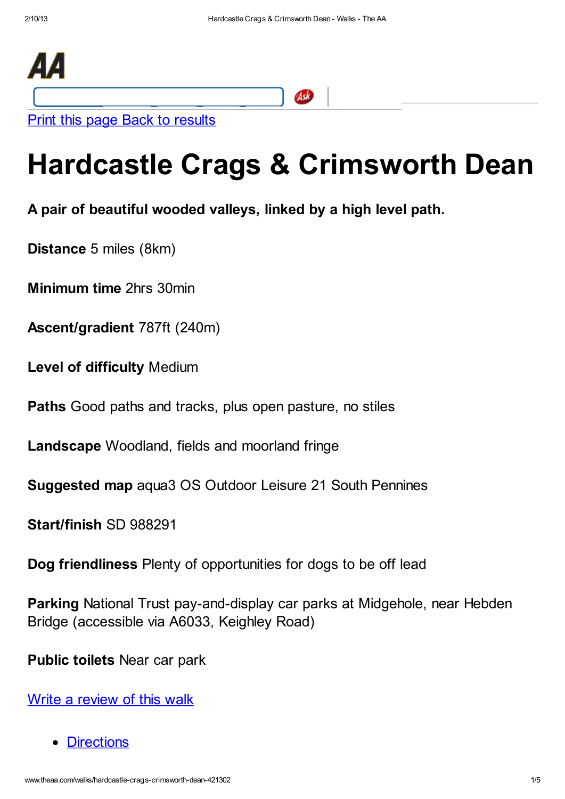Ask



# Hardcastle Crags & Crimsworth Dean

A pair of beautiful wooded valleys, linked by a high level path.

Distance 5 miles (8km)

Minimum time 2hrs 30min

Ascent/gradient 787ft (240m)

Level of difficulty Medium

Paths Good paths and tracks, plus open pasture, no stiles

Landscape Woodland, fields and moorland fringe

Suggested map aqua3 OS Outdoor Leisure 21 South Pennines

Start/finish SD 988291

Dog friendliness Plenty of opportunities for dogs to be off lead

Parking National Trust pay-and-display car parks at Midgehole, near Hebden Bridge (accessible via A6033, Keighley Road)

Public toilets Near car park

Write a review of this walk

**Directions**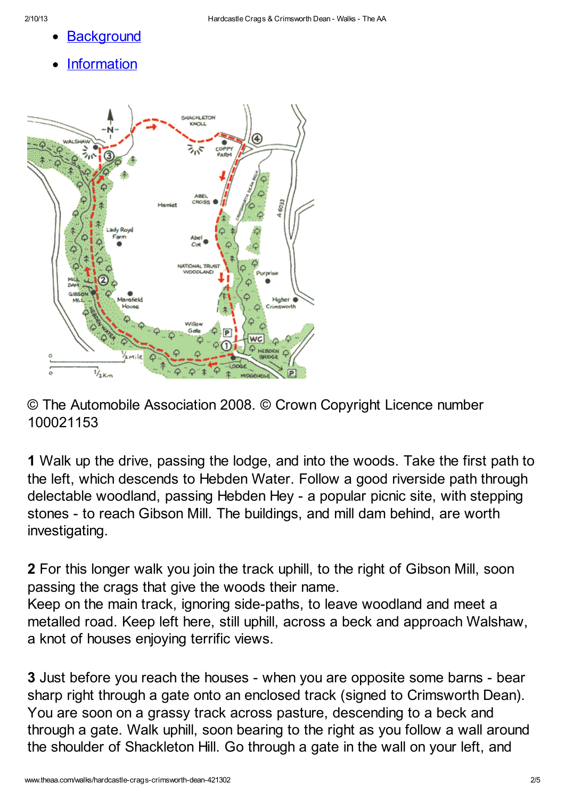- [Background](http://www.theaa.com/walks/hardcastle-crags-crimsworth-dean-421302#background)
- [Information](http://www.theaa.com/walks/hardcastle-crags-crimsworth-dean-421302#information)



© The Automobile Association 2008. © Crown Copyright Licence number 100021153

1 Walk up the drive, passing the lodge, and into the woods. Take the first path to the left, which descends to Hebden Water. Follow a good riverside path through delectable woodland, passing Hebden Hey - a popular picnic site, with stepping stones - to reach Gibson Mill. The buildings, and mill dam behind, are worth investigating.

2 For this longer walk you join the track uphill, to the right of Gibson Mill, soon passing the crags that give the woods their name. Keep on the main track, ignoring side-paths, to leave woodland and meet a metalled road. Keep left here, still uphill, across a beck and approach Walshaw, a knot of houses enjoying terrific views.

3 Just before you reach the houses - when you are opposite some barns - bear sharp right through a gate onto an enclosed track (signed to Crimsworth Dean). You are soon on a grassy track across pasture, descending to a beck and through a gate. Walk uphill, soon bearing to the right as you follow a wall around the shoulder of Shackleton Hill. Go through a gate in the wall on your left, and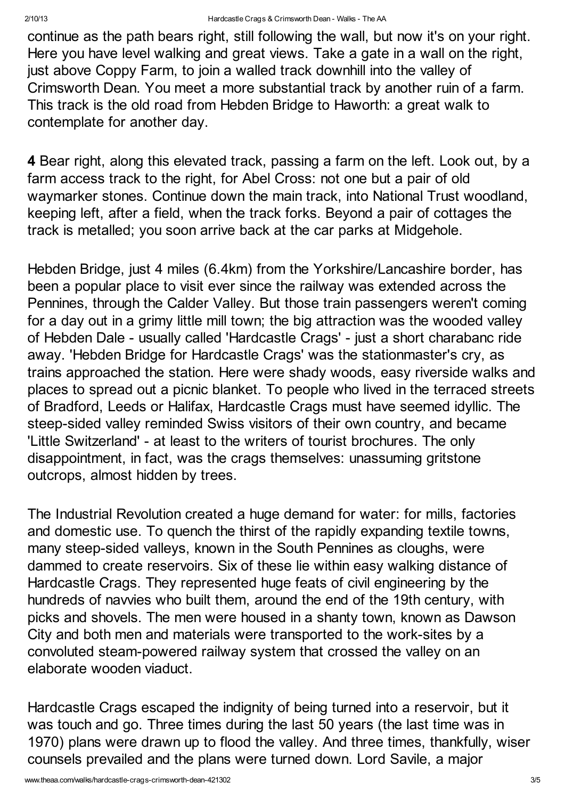continue as the path bears right, still following the wall, but now it's on your right. Here you have level walking and great views. Take a gate in a wall on the right, just above Coppy Farm, to join a walled track downhill into the valley of Crimsworth Dean. You meet a more substantial track by another ruin of a farm. This track is the old road from Hebden Bridge to Haworth: a great walk to contemplate for another day.

4 Bear right, along this elevated track, passing a farm on the left. Look out, by a farm access track to the right, for Abel Cross: not one but a pair of old waymarker stones. Continue down the main track, into National Trust woodland, keeping left, after a field, when the track forks. Beyond a pair of cottages the track is metalled; you soon arrive back at the car parks at Midgehole.

Hebden Bridge, just 4 miles (6.4km) from the Yorkshire/Lancashire border, has been a popular place to visit ever since the railway was extended across the Pennines, through the Calder Valley. But those train passengers weren't coming for a day out in a grimy little mill town; the big attraction was the wooded valley of Hebden Dale - usually called 'Hardcastle Crags' - just a short charabanc ride away. 'Hebden Bridge for Hardcastle Crags' was the stationmaster's cry, as trains approached the station. Here were shady woods, easy riverside walks and places to spread out a picnic blanket. To people who lived in the terraced streets of Bradford, Leeds or Halifax, Hardcastle Crags must have seemed idyllic. The steep-sided valley reminded Swiss visitors of their own country, and became 'Little Switzerland' - at least to the writers of tourist brochures. The only disappointment, in fact, was the crags themselves: unassuming gritstone outcrops, almost hidden by trees.

The Industrial Revolution created a huge demand for water: for mills, factories and domestic use. To quench the thirst of the rapidly expanding textile towns, many steep-sided valleys, known in the South Pennines as cloughs, were dammed to create reservoirs. Six of these lie within easy walking distance of Hardcastle Crags. They represented huge feats of civil engineering by the hundreds of navvies who built them, around the end of the 19th century, with picks and shovels. The men were housed in a shanty town, known as Dawson City and both men and materials were transported to the work-sites by a convoluted steam-powered railway system that crossed the valley on an elaborate wooden viaduct.

Hardcastle Crags escaped the indignity of being turned into a reservoir, but it was touch and go. Three times during the last 50 years (the last time was in 1970) plans were drawn up to flood the valley. And three times, thankfully, wiser counsels prevailed and the plans were turned down. Lord Savile, a major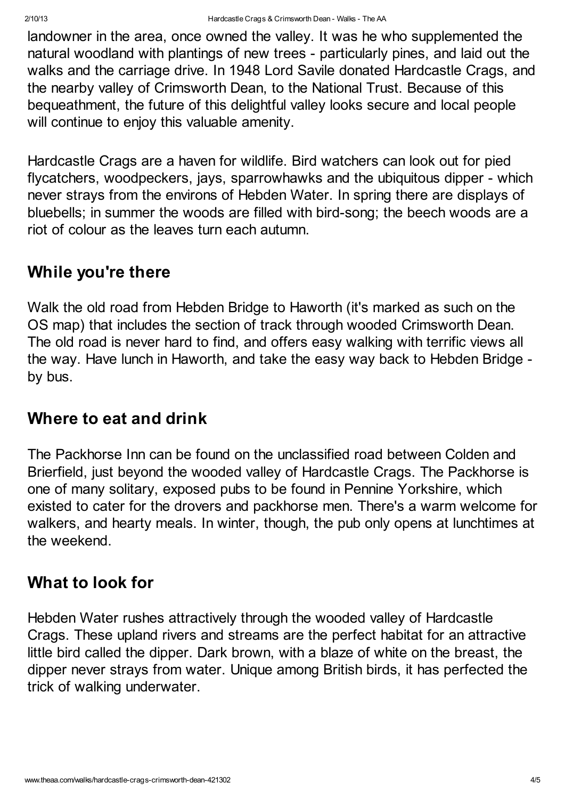landowner in the area, once owned the valley. It was he who supplemented the natural woodland with plantings of new trees - particularly pines, and laid out the walks and the carriage drive. In 1948 Lord Savile donated Hardcastle Crags, and the nearby valley of Crimsworth Dean, to the National Trust. Because of this bequeathment, the future of this delightful valley looks secure and local people will continue to enjoy this valuable amenity.

Hardcastle Crags are a haven for wildlife. Bird watchers can look out for pied flycatchers, woodpeckers, jays, sparrowhawks and the ubiquitous dipper - which never strays from the environs of Hebden Water. In spring there are displays of bluebells; in summer the woods are filled with bird-song; the beech woods are a riot of colour as the leaves turn each autumn.

#### While you're there

Walk the old road from Hebden Bridge to Haworth (it's marked as such on the OS map) that includes the section of track through wooded Crimsworth Dean. The old road is never hard to find, and offers easy walking with terrific views all the way. Have lunch in Haworth, and take the easy way back to Hebden Bridge by bus.

#### Where to eat and drink

The Packhorse Inn can be found on the unclassified road between Colden and Brierfield, just beyond the wooded valley of Hardcastle Crags. The Packhorse is one of many solitary, exposed pubs to be found in Pennine Yorkshire, which existed to cater for the drovers and packhorse men. There's a warm welcome for walkers, and hearty meals. In winter, though, the pub only opens at lunchtimes at the weekend.

#### What to look for

Hebden Water rushes attractively through the wooded valley of Hardcastle Crags. These upland rivers and streams are the perfect habitat for an attractive little bird called the dipper. Dark brown, with a blaze of white on the breast, the dipper never strays from water. Unique among British birds, it has perfected the trick of walking underwater.